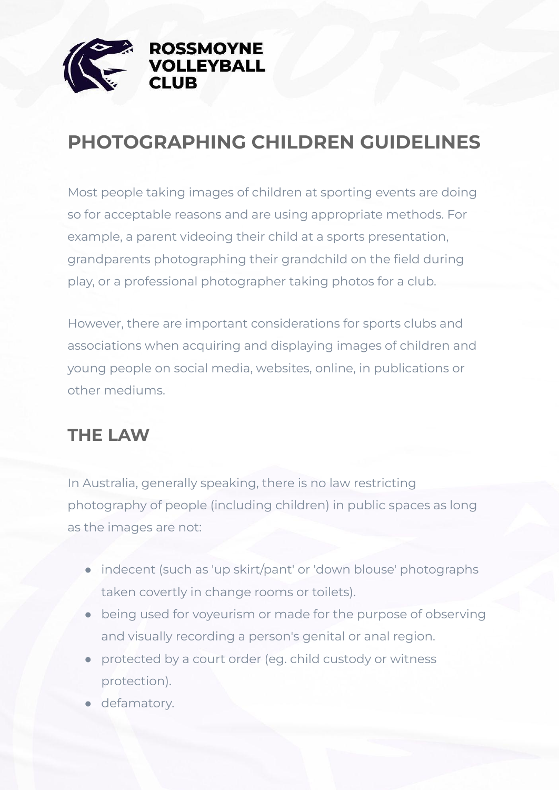

### **PHOTOGRAPHING CHILDREN GUIDELINES**

Most people taking images of children at sporting events are doing so for acceptable reasons and are using appropriate methods. For example, a parent videoing their child at a sports presentation, grandparents photographing their grandchild on the field during play, or a professional photographer taking photos for a club.

However, there are important considerations for sports clubs and associations when acquiring and displaying images of children and young people on social media, websites, online, in publications or other mediums.

#### **THE LAW**

In Australia, generally speaking, there is no law restricting photography of people (including children) in public spaces as long as the images are not:

- indecent (such as 'up skirt/pant' or 'down blouse' photographs taken covertly in change rooms or toilets).
- being used for voyeurism or made for the purpose of observing and visually recording a person's genital or anal region.
- protected by a court order (eg. child custody or witness protection).
- defamatory.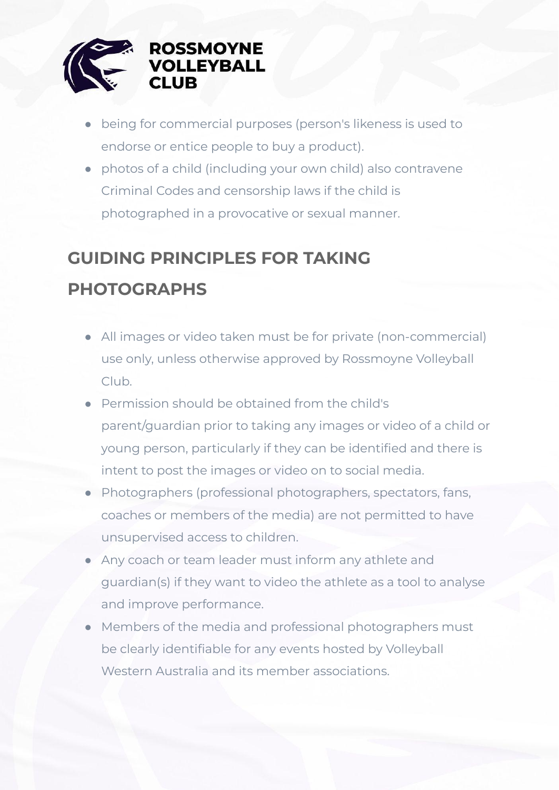

- being for commercial purposes (person's likeness is used to endorse or entice people to buy a product).
- photos of a child (including your own child) also contravene Criminal Codes and censorship laws if the child is photographed in a provocative or sexual manner.

## **GUIDING PRINCIPLES FOR TAKING PHOTOGRAPHS**

- All images or video taken must be for private (non-commercial) use only, unless otherwise approved by Rossmoyne Volleyball Club.
- Permission should be obtained from the child's parent/guardian prior to taking any images or video of a child or young person, particularly if they can be identified and there is intent to post the images or video on to social media.
- **Photographers (professional photographers, spectators, fans,** coaches or members of the media) are not permitted to have unsupervised access to children.
- Any coach or team leader must inform any athlete and guardian(s) if they want to video the athlete as a tool to analyse and improve performance.
- Members of the media and professional photographers must be clearly identifiable for any events hosted by Volleyball Western Australia and its member associations.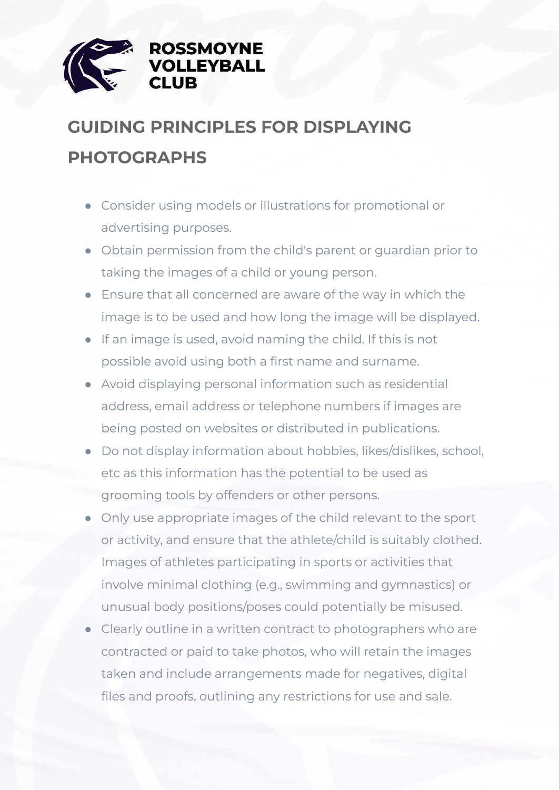

# **GUIDING PRINCIPLES FOR DISPLAYING PHOTOGRAPHS**

- Consider using models or illustrations for promotional or advertising purposes.
- Obtain permission from the child's parent or guardian prior to taking the images of a child or young person.
- Ensure that all concerned are aware of the way in which the image is to be used and how long the image will be displayed.
- If an image is used, avoid naming the child. If this is not possible avoid using both a first name and surname.
- Avoid displaying personal information such as residential address, email address or telephone numbers if images are being posted on websites or distributed in publications.
- Do not display information about hobbies, likes/dislikes, school, etc as this information has the potential to be used as grooming tools by offenders or other persons.
- Only use appropriate images of the child relevant to the sport or activity, and ensure that the athlete/child is suitably clothed. Images of athletes participating in sports or activities that involve minimal clothing (e.g., swimming and gymnastics) or unusual body positions/poses could potentially be misused.
- Clearly outline in a written contract to photographers who are contracted or paid to take photos, who will retain the images taken and include arrangements made for negatives, digital files and proofs, outlining any restrictions for use and sale.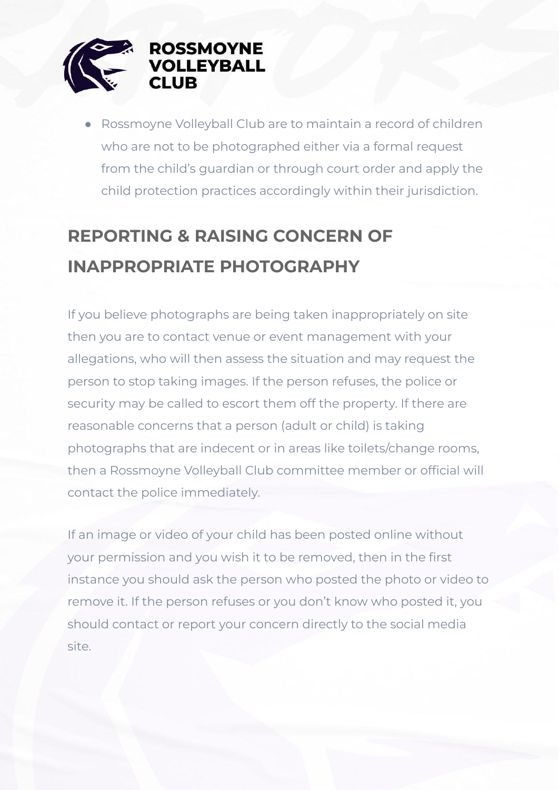

● Rossmoyne Volleyball Club are to maintain a record of children who are not to be photographed either via a formal request from the child's guardian or through court order and apply the child protection practices accordingly within their jurisdiction.

# **REPORTING & RAISING CONCERN OF INAPPROPRIATE PHOTOGRAPHY**

If you believe photographs are being taken inappropriately on site then you are to contact venue or event management with your allegations, who will then assess the situation and may request the person to stop taking images. If the person refuses, the police or security may be called to escort them off the property. If there are reasonable concerns that a person (adult or child) is taking photographs that are indecent or in areas like toilets/change rooms, then a Rossmoyne Volleyball Club committee member or official will contact the police immediately.

If an image or video of your child has been posted online without your permission and you wish it to be removed, then in the first instance you should ask the person who posted the photo or video to remove it. If the person refuses or you don't know who posted it, you should contact or report your concern directly to the social media site.